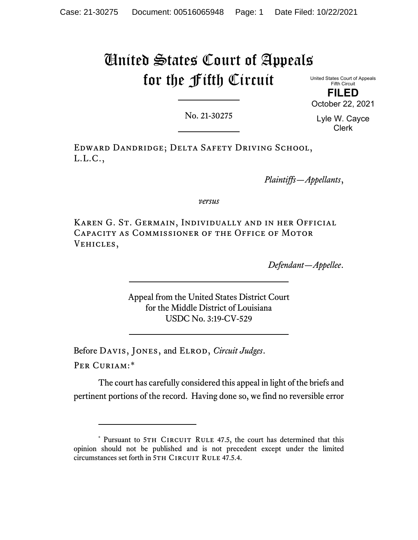## United States Court of Appeals for the Fifth Circuit

United States Court of Appeals Fifth Circuit **FILED** October 22, 2021

No. 21-30275

Lyle W. Cayce Clerk

Edward Dandridge; Delta Safety Driving School, L.L.C.,

*Plaintiffs—Appellants*,

*versus*

Karen G. St. Germain, Individually and in her Official Capacity as Commissioner of the Office of Motor Vehicles,

*Defendant—Appellee*.

Appeal from the United States District Court for the Middle District of Louisiana USDC No. 3:19-CV-529

Before Davis, Jones, and Elrod, *Circuit Judges*.

Per Curiam:[\\*](#page-0-0)

The court has carefully considered this appeal in light of the briefs and pertinent portions of the record. Having done so, we find no reversible error

<span id="page-0-0"></span><sup>\*</sup> Pursuant to 5TH CIRCUIT RULE 47.5, the court has determined that this opinion should not be published and is not precedent except under the limited circumstances set forth in 5TH CIRCUIT RULE 47.5.4.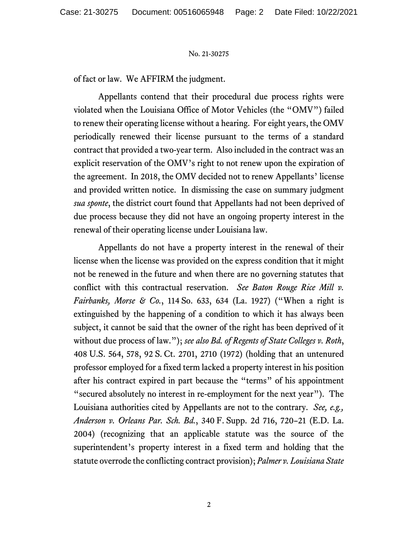## No. 21-30275

of fact or law. We AFFIRM the judgment.

Appellants contend that their procedural due process rights were violated when the Louisiana Office of Motor Vehicles (the "OMV") failed to renew their operating license without a hearing. For eight years, the OMV periodically renewed their license pursuant to the terms of a standard contract that provided a two-year term. Also included in the contract was an explicit reservation of the OMV's right to not renew upon the expiration of the agreement. In 2018, the OMV decided not to renew Appellants' license and provided written notice. In dismissing the case on summary judgment *sua sponte*, the district court found that Appellants had not been deprived of due process because they did not have an ongoing property interest in the renewal of their operating license under Louisiana law.

Appellants do not have a property interest in the renewal of their license when the license was provided on the express condition that it might not be renewed in the future and when there are no governing statutes that conflict with this contractual reservation. *See Baton Rouge Rice Mill v. Fairbanks, Morse & Co.*, 114 So. 633, 634 (La. 1927) ("When a right is extinguished by the happening of a condition to which it has always been subject, it cannot be said that the owner of the right has been deprived of it without due process of law."); *see also Bd. of Regents of State Colleges v. Roth*, 408 U.S. 564, 578, 92 S. Ct. 2701, 2710 (1972) (holding that an untenured professor employed for a fixed term lacked a property interest in his position after his contract expired in part because the "terms" of his appointment "secured absolutely no interest in re-employment for the next year"). The Louisiana authorities cited by Appellants are not to the contrary. *See, e.g., Anderson v. Orleans Par. Sch. Bd.*, 340 F. Supp. 2d 716, 720–21 (E.D. La. 2004) (recognizing that an applicable statute was the source of the superintendent's property interest in a fixed term and holding that the statute overrode the conflicting contract provision); *Palmer v. Louisiana State*